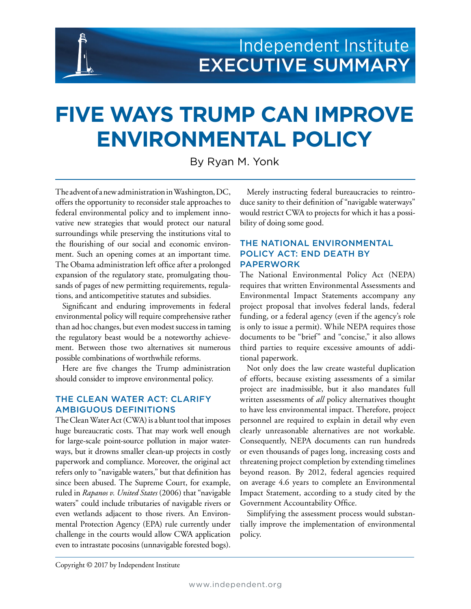# **FIVE WAYS TRUMP CAN IMPROVE ENVIRONMENTAL POLICY**

By Ryan M. Yonk

The advent of a new administration in Washington, DC, offers the opportunity to reconsider stale approaches to federal environmental policy and to implement innovative new strategies that would protect our natural surroundings while preserving the institutions vital to the flourishing of our social and economic environment. Such an opening comes at an important time. The Obama administration left office after a prolonged expansion of the regulatory state, promulgating thousands of pages of new permitting requirements, regulations, and anticompetitive statutes and subsidies.

**1** | Independent Institute

Significant and enduring improvements in federal environmental policy will require comprehensive rather than ad hoc changes, but even modest success in taming the regulatory beast would be a noteworthy achievement. Between those two alternatives sit numerous possible combinations of worthwhile reforms.

Here are five changes the Trump administration should consider to improve environmental policy.

### THE CLEAN WATER ACT: CLARIFY AMBIGUOUS DEFINITIONS

The Clean Water Act (CWA) is a blunt tool that imposes huge bureaucratic costs. That may work well enough for large-scale point-source pollution in major waterways, but it drowns smaller clean-up projects in costly paperwork and compliance. Moreover, the original act refers only to "navigable waters," but that definition has since been abused. The Supreme Court, for example, ruled in *Rapanos v. United States* (2006) that "navigable waters" could include tributaries of navigable rivers or even wetlands adjacent to those rivers. An Environmental Protection Agency (EPA) rule currently under challenge in the courts would allow CWA application even to intrastate pocosins (unnavigable forested bogs).

Merely instructing federal bureaucracies to reintroduce sanity to their definition of "navigable waterways" would restrict CWA to projects for which it has a possibility of doing some good.

#### THE NATIONAL ENVIRONMENTAL POLICY ACT: END DEATH BY PAPERWORK

The National Environmental Policy Act (NEPA) requires that written Environmental Assessments and Environmental Impact Statements accompany any project proposal that involves federal lands, federal funding, or a federal agency (even if the agency's role is only to issue a permit). While NEPA requires those documents to be "brief" and "concise," it also allows third parties to require excessive amounts of additional paperwork.

Not only does the law create wasteful duplication of efforts, because existing assessments of a similar project are inadmissible, but it also mandates full written assessments of *all* policy alternatives thought to have less environmental impact. Therefore, project personnel are required to explain in detail why even clearly unreasonable alternatives are not workable. Consequently, NEPA documents can run hundreds or even thousands of pages long, increasing costs and threatening project completion by extending timelines beyond reason. By 2012, federal agencies required on average 4.6 years to complete an Environmental Impact Statement, according to a study cited by the Government Accountability Office.

Simplifying the assessment process would substantially improve the implementation of environmental policy.

Copyright © 2017 by Independent Institute